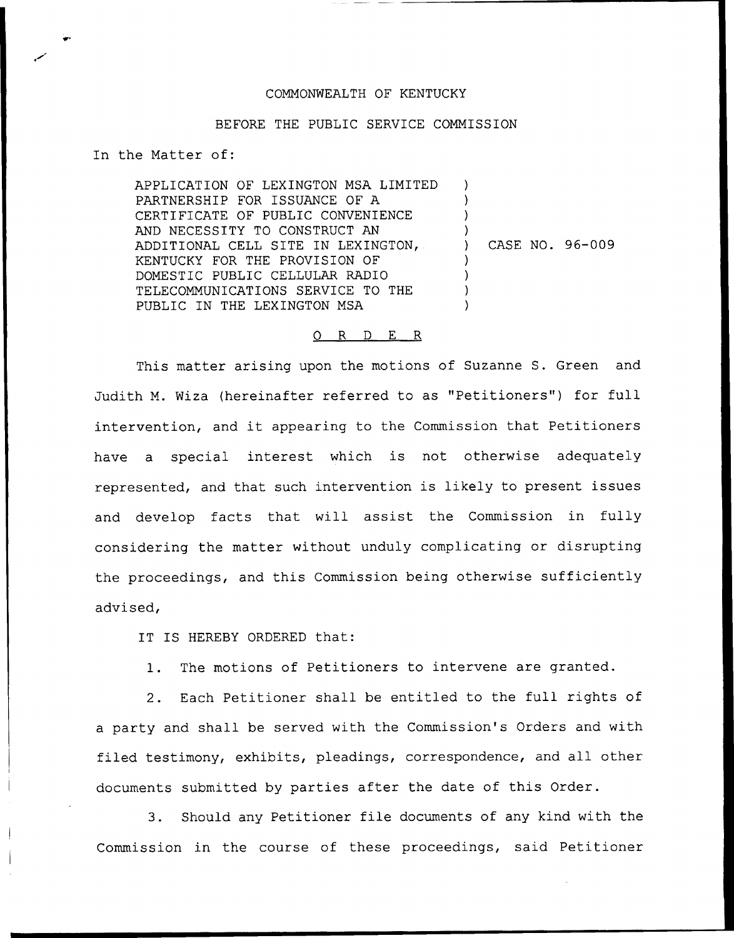## COMMONWEALTH OF KENTUCKY

## BEFORE THE PUBLIC SERVICE COMMISSION

In the Matter of:

APPLICATION OF LEXINGTON MSA LIMITED PARTNERSHIP FOR ISSUANCE OF A CERTIFICATE OF PUBLIC CONVENIENCE AND NECESSITY TO CONSTRUCT AN ADDITIONAL CELL SITE IN LEXINGTON, KENTUCKY FOR THE PROVISION OF DOMESTIC PUBLIC CELLULAR RADIO TELECOMMUNICATIONS SERVICE TO THE PUBLIC IN THE LEXINGTON MSA  $\lambda$ ) ) ) ) CASE NO. 96-009 )  $\overline{\phantom{a}}$ ) )

## 0 R <sup>D</sup> E R

This matter arising upon the motions of Suzanne S. Green and Judith M. Wiza (hereinafter referred to as "Petitioners") for full intervention, and it appearing to the Commission that Petitioners have a special interest which is not otherwise adequately represented, and that such intervention is likely to present issues and develop facts that will assist the Commission in fully considering the matter without unduly complicating or disrupting the proceedings, and this Commission being otherwise sufficiently advised,

IT IS HEREBY ORDERED that:

1. The motions of Petitioners to intervene are granted.

2. Each Petitioner shall be entitled to the full rights of a party and shall be served with the Commission's Orders and with filed testimony, exhibits, pleadings, correspondence, and all other documents submitted by parties after the date of this Order.

3. Should any Petitioner file documents of any kind with the Commission in the course of these proceedings, said Petitioner